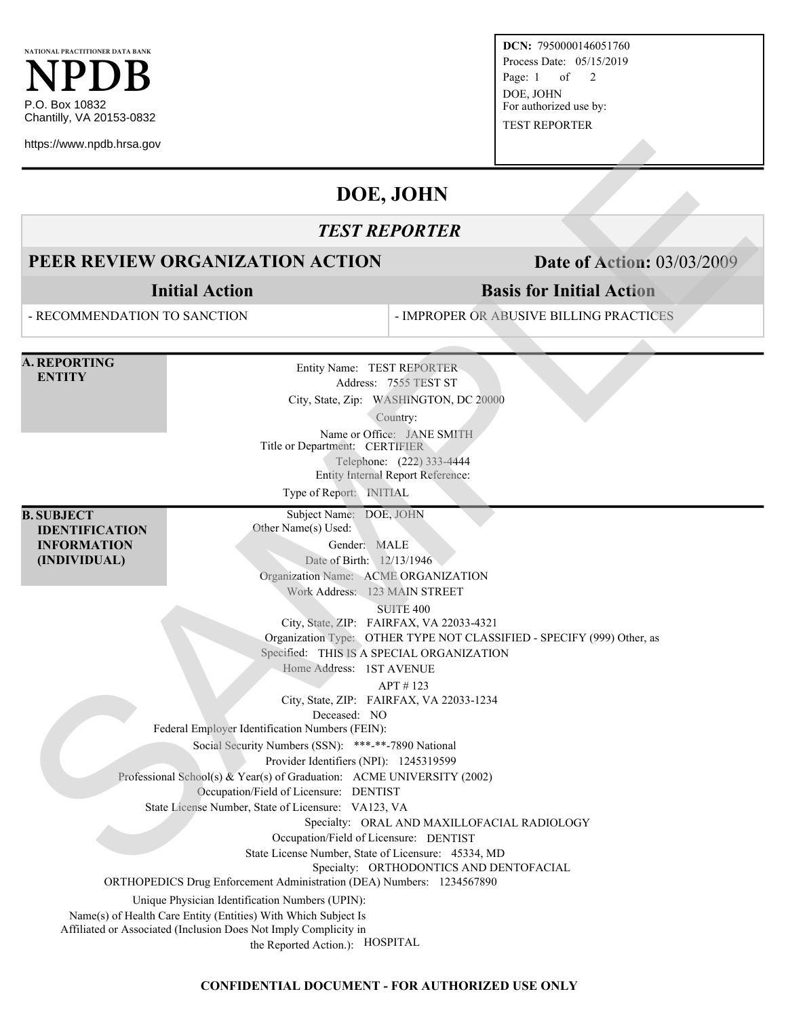**NATIONAL PRACTITIONER DATA BANK NPDB** P.O. Box 10832 Chantilly, VA 20153-0832

https://www.npdb.hrsa.gov

**DCN:** 7950000146051760 Process Date: 05/15/2019 Page: 1 of 2 DOE, JOHN For authorized use by: TEST REPORTER

**Basis for Initial Action**

# **DOE, JOHN**

### *TEST REPORTER*

## **PEER REVIEW ORGANIZATION ACTION Date of Action:** 03/03/2009

**Initial Action**

- RECOMMENDATION TO SANCTION

- IMPROPER OR ABUSIVE BILLING PRACTICES

**A. REPORTING**

**ENTITY**

Entity Name: TEST REPORTER Address: 7555 TEST ST City, State, Zip: WASHINGTON, DC 20000 Country: Name or Office: JANE SMITH Title or Department: CERTIFIER Telephone: (222) 333-4444 Entity Internal Report Reference: Type of Report: INITIAL **SEE REVIEW ORGANIZATION ACTION**<br> **SEE REVIEW ORGANIZATION ACTION**<br> **SEE REVIEW ORGANIZATION ACTION**<br> **SEE REVIEW ORGANIZATION ACTION**<br> **SEE REVIEW ORGANIZATION ACTION**<br> **SEE COMMEMDATION**<br> **SEE COMMEMDATION**<br> **SEE COMMEM** 

**B. SUBJECT IDENTIFICATION INFORMATION (INDIVIDUAL)**

Other Name(s) Used: Gender: MALE Date of Birth: 12/13/1946

Organization Name: ACME ORGANIZATION

Subject Name: DOE, JOHN

Work Address: 123 MAIN STREET

SUITE 400

City, State, ZIP: FAIRFAX, VA 22033-4321

Organization Type: OTHER TYPE NOT CLASSIFIED - SPECIFY (999) Other, as

Specified: THIS IS A SPECIAL ORGANIZATION

Home Address: 1ST AVENUE

APT # 123

City, State, ZIP: FAIRFAX, VA 22033-1234

Deceased: NO

Federal Employer Identification Numbers (FEIN):

Social Security Numbers (SSN): \*\*\*-\*\*-7890 National

Provider Identifiers (NPI): 1245319599

Professional School(s) & Year(s) of Graduation: ACME UNIVERSITY (2002)

Occupation/Field of Licensure: DENTIST

State License Number, State of Licensure: VA123, VA

Specialty: ORAL AND MAXILLOFACIAL RADIOLOGY

Occupation/Field of Licensure: DENTIST

State License Number, State of Licensure: 45334, MD

Specialty: ORTHODONTICS AND DENTOFACIAL

ORTHOPEDICS Drug Enforcement Administration (DEA) Numbers: 1234567890

Unique Physician Identification Numbers (UPIN):

Name(s) of Health Care Entity (Entities) With Which Subject Is

Affiliated or Associated (Inclusion Does Not Imply Complicity in

the Reported Action.): HOSPITAL